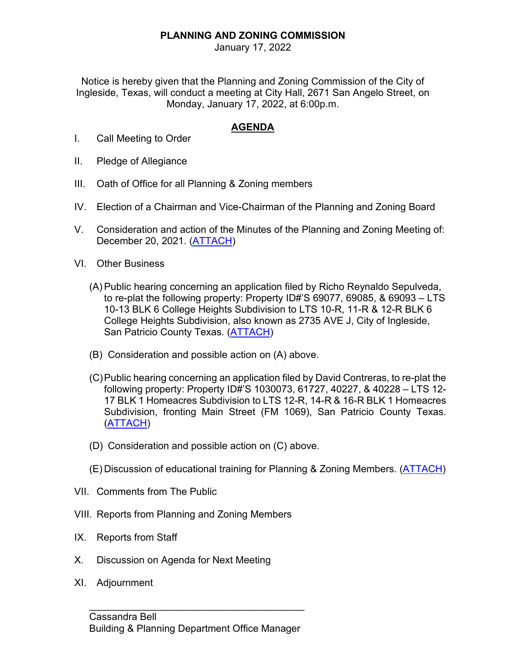## **PLANNING AND ZONING COMMISSION**

January 17, 2022

Notice is hereby given that the Planning and Zoning Commission of the City of Ingleside, Texas, will conduct a meeting at City Hall, 2671 San Angelo Street, on Monday, January 17, 2022, at 6:00p.m.

## **AGENDA**

- I. Call Meeting to Order
- II. Pledge of Allegiance
- III. Oath of Office for all Planning & Zoning members
- IV. Election of a Chairman and Vice-Chairman of the Planning and Zoning Board
- V. Consideration and action of the Minutes of the Planning and Zoning Meeting of: December 20, 2021. [\(ATTACH\)](https://itx.nyc3.cdn.digitaloceanspaces.com/wp-content/uploads/2022/01/V.pdf)
- VI. Other Business
	- (A) Public hearing concerning an application filed by Richo Reynaldo Sepulveda, to re-plat the following property: Property ID#'S 69077, 69085, & 69093 – LTS 10-13 BLK 6 College Heights Subdivision to LTS 10-R, 11-R & 12-R BLK 6 College Heights Subdivision, also known as 2735 AVE J, City of Ingleside, San Patricio County Texas. [\(ATTACH\)](https://itx.nyc3.cdn.digitaloceanspaces.com/wp-content/uploads/2022/01/VIA.pdf)
	- (B) Consideration and possible action on (A) above.
	- (C)Public hearing concerning an application filed by David Contreras, to re-plat the following property: Property ID#'S 1030073, 61727, 40227, & 40228 – LTS 12- 17 BLK 1 Homeacres Subdivision to LTS 12-R, 14-R & 16-R BLK 1 Homeacres Subdivision, fronting Main Street (FM 1069), San Patricio County Texas. [\(ATTACH\)](https://itx.nyc3.cdn.digitaloceanspaces.com/wp-content/uploads/2022/01/VIC.pdf)
	- (D) Consideration and possible action on (C) above.
	- (E) Discussion of educational training for Planning & Zoning Members. [\(ATTACH\)](https://itx.nyc3.cdn.digitaloceanspaces.com/wp-content/uploads/2022/01/VIE.pdf)
- VII. Comments from The Public
- VIII. Reports from Planning and Zoning Members
- IX. Reports from Staff
- X. Discussion on Agenda for Next Meeting
- XI. Adjournment

\_\_\_\_\_\_\_\_\_\_\_\_\_\_\_\_\_\_\_\_\_\_\_\_\_\_\_\_\_\_\_\_\_\_\_\_\_\_\_